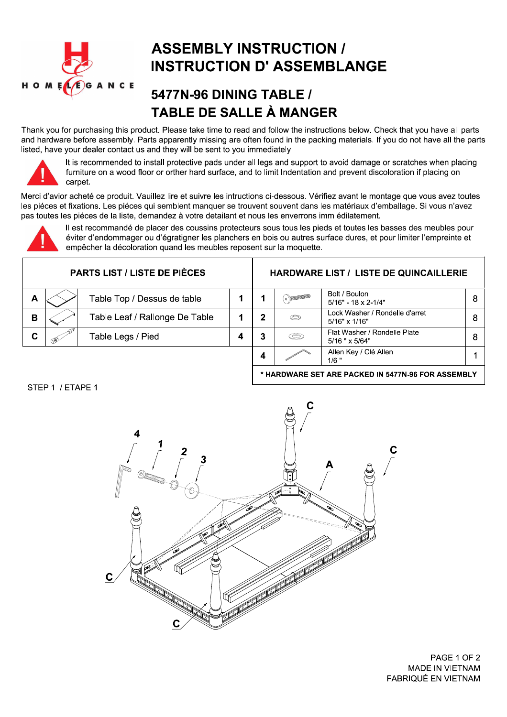

## **ASSEMBLY INSTRUCTION / INSTRUCTION D' ASSEMBLANGE**

## 5477N-96 DINING TABLE / **TABLE DE SALLE À MANGER**

Thank you for purchasing this product. Please take time to read and follow the instructions below. Check that you have all parts and hardware before assembly. Parts apparently missing are often found in the packing materials. If you do not have all the parts listed, have your dealer contact us and they will be sent to you immediately.



It is recommended to install protective pads under all legs and support to avoid damage or scratches when placing furniture on a wood floor or orther hard surface, and to limit Indentation and prevent discoloration if placing on carpet.

Merci d'avior acheté ce produit. Vauillez lire et suivre les intructions ci-dessous. Vérifiez avant le montage que vous avez toutes les piéces et fixations. Les piéces qui semblent manquer se trouvent souvent dans les matériaux d'emballage. Si vous n'avez pas toutes les piéces de la liste, demandez à votre detailant et nous les enverrons imm édilatement.



Il est recommandé de placer des coussins protecteurs sous tous les pieds et toutes les basses des meubles pour éviter d'endommager ou d'égratigner les planchers en bois ou autres surface dures, et pour limiter l'empreinte et empêcher la décoloration quand les meubles reposent sur la moquette.

| <b>PARTS LIST / LISTE DE PIÈCES</b> |  |                                |  | <b>HARDWARE LIST / LISTE DE QUINCAILLERIE</b> |   |                                                     |   |
|-------------------------------------|--|--------------------------------|--|-----------------------------------------------|---|-----------------------------------------------------|---|
| A                                   |  | Table Top / Dessus de table    |  |                                               |   | Bolt / Boulon<br>$5/16" - 18 \times 2 - 1/4"$       |   |
| в                                   |  | Table Leaf / Rallonge De Table |  |                                               | O | Lock Washer / Rondelle d'arret<br>$5/16"$ x $1/16"$ | 8 |
| C                                   |  | Table Legs / Pied              |  |                                               | S | Flat Washer / Rondelle Plate<br>$5/16$ " x $5/64$ " | 8 |
|                                     |  |                                |  |                                               |   | Allen Key / Clé Allen<br>$1/6$ "                    |   |

STEP 1 / ETAPE 1



PAGE 1 OF 2 **MADE IN VIETNAM** FABRIQUÉ EN VIETNAM

\* HARDWARE SET ARE PACKED IN 5477N-96 FOR ASSEMBLY